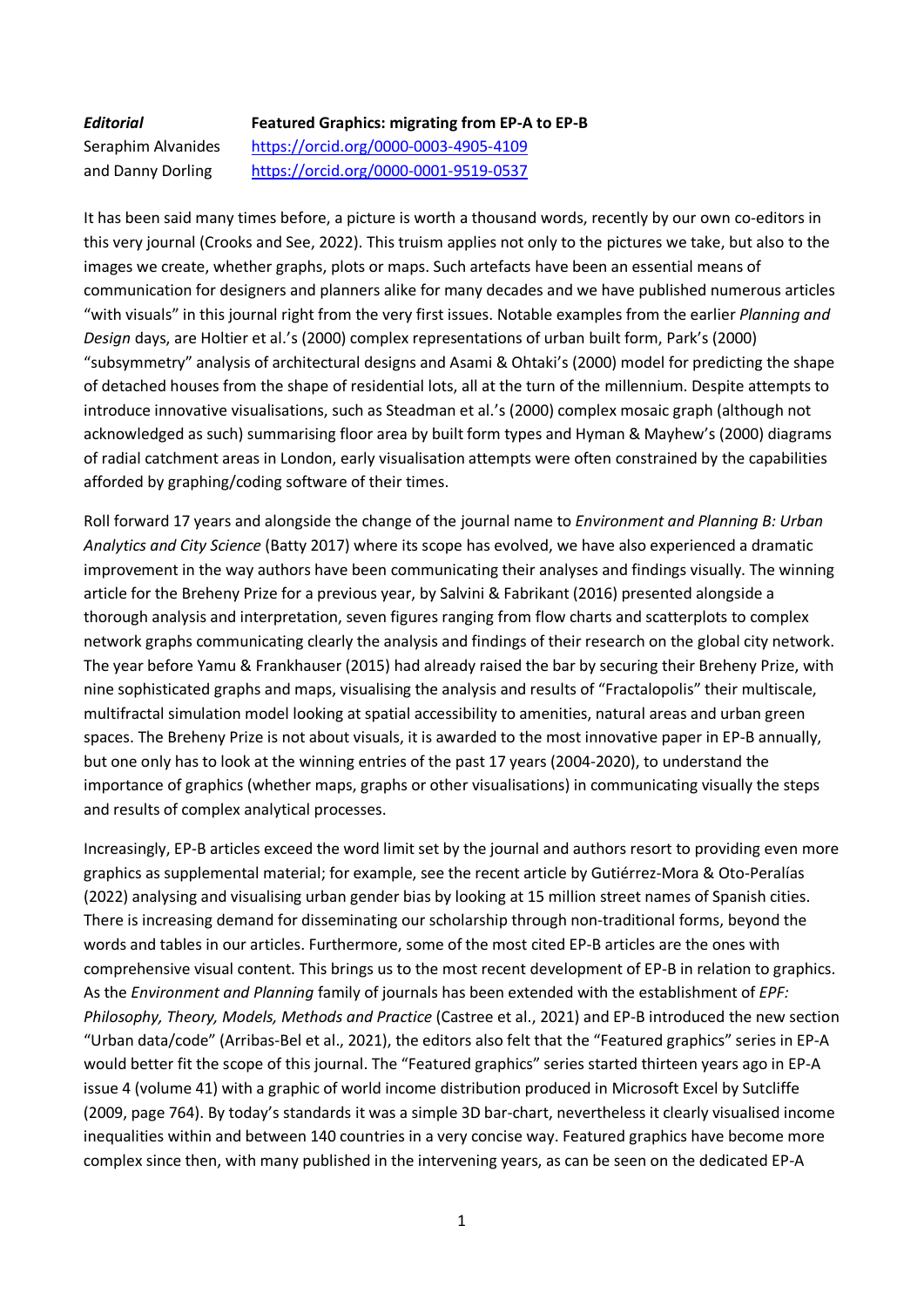## *Editorial* **Featured Graphics: migrating from EP-A to EP-B**

Seraphim Alvanides <https://orcid.org/0000-0003-4905-4109> and Danny Dorling <https://orcid.org/0000-0001-9519-0537>

It has been said many times before, a picture is worth a thousand words, recently by our own co-editors in this very journal (Crooks and See, 2022). This truism applies not only to the pictures we take, but also to the images we create, whether graphs, plots or maps. Such artefacts have been an essential means of communication for designers and planners alike for many decades and we have published numerous articles "with visuals" in this journal right from the very first issues. Notable examples from the earlier *Planning and Design* days, are Holtier et al.'s (2000) complex representations of urban built form, Park's (2000) "subsymmetry" analysis of architectural designs and Asami & Ohtaki's (2000) model for predicting the shape of detached houses from the shape of residential lots, all at the turn of the millennium. Despite attempts to introduce innovative visualisations, such as Steadman et al.'s (2000) complex mosaic graph (although not acknowledged as such) summarising floor area by built form types and Hyman & Mayhew's (2000) diagrams of radial catchment areas in London, early visualisation attempts were often constrained by the capabilities afforded by graphing/coding software of their times.

Roll forward 17 years and alongside the change of the journal name to *Environment and Planning B: Urban Analytics and City Science* (Batty 2017) where its scope has evolved, we have also experienced a dramatic improvement in the way authors have been communicating their analyses and findings visually. The winning article for the Breheny Prize for a previous year, by Salvini & Fabrikant (2016) presented alongside a thorough analysis and interpretation, seven figures ranging from flow charts and scatterplots to complex network graphs communicating clearly the analysis and findings of their research on the global city network. The year before Yamu & Frankhauser (2015) had already raised the bar by securing their Breheny Prize, with nine sophisticated graphs and maps, visualising the analysis and results of "Fractalopolis" their multiscale, multifractal simulation model looking at spatial accessibility to amenities, natural areas and urban green spaces. The Breheny Prize is not about visuals, it is awarded to the most innovative paper in EP-B annually, but one only has to look at the winning entries of the past 17 years (2004-2020), to understand the importance of graphics (whether maps, graphs or other visualisations) in communicating visually the steps and results of complex analytical processes.

Increasingly, EP-B articles exceed the word limit set by the journal and authors resort to providing even more graphics as supplemental material; for example, see the recent article by Gutiérrez-Mora & Oto-Peralías (2022) analysing and visualising urban gender bias by looking at 15 million street names of Spanish cities. There is increasing demand for disseminating our scholarship through non-traditional forms, beyond the words and tables in our articles. Furthermore, some of the most cited EP-B articles are the ones with comprehensive visual content. This brings us to the most recent development of EP-B in relation to graphics. As the *Environment and Planning* family of journals has been extended with the establishment of *EPF: Philosophy, Theory, Models, Methods and Practice* (Castree et al., 2021) and EP-B introduced the new section "Urban data/code" (Arribas-Bel et al., 2021), the editors also felt that the "Featured graphics" series in EP-A would better fit the scope of this journal. The "Featured graphics" series started thirteen years ago in EP-A issue 4 (volume 41) with a graphic of world income distribution produced in Microsoft Excel by Sutcliffe (2009, page 764). By today's standards it was a simple 3D bar-chart, nevertheless it clearly visualised income inequalities within and between 140 countries in a very concise way. Featured graphics have become more complex since then, with many published in the intervening years, as can be seen on the dedicated EP-A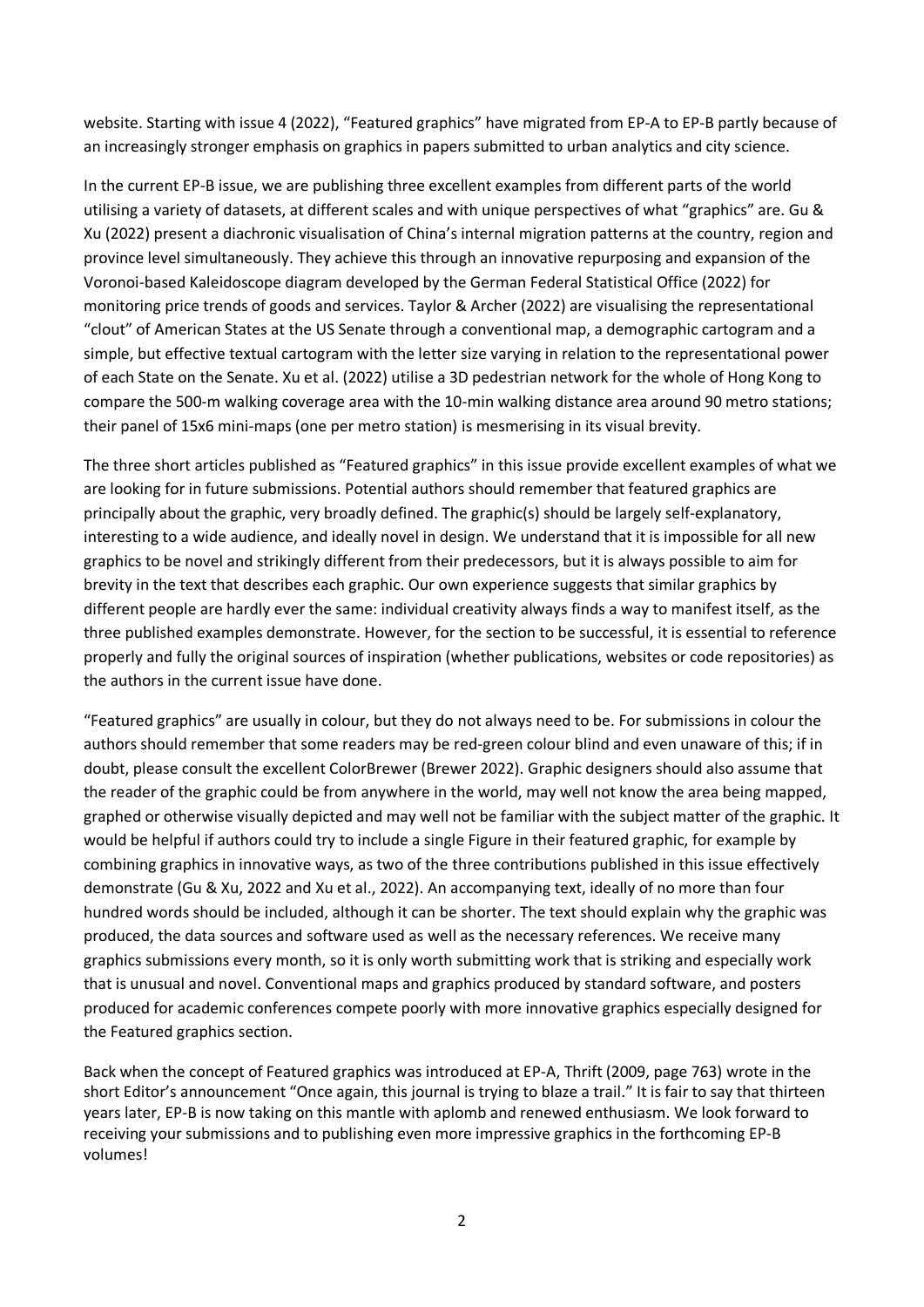website. Starting with issue 4 (2022), "Featured graphics" have migrated from EP-A to EP-B partly because of an increasingly stronger emphasis on graphics in papers submitted to urban analytics and city science.

In the current EP-B issue, we are publishing three excellent examples from different parts of the world utilising a variety of datasets, at different scales and with unique perspectives of what "graphics" are. Gu & Xu (2022) present a diachronic visualisation of China's internal migration patterns at the country, region and province level simultaneously. They achieve this through an innovative repurposing and expansion of the Voronoi-based Kaleidoscope diagram developed by the German Federal Statistical Office (2022) for monitoring price trends of goods and services. Taylor & Archer (2022) are visualising the representational "clout" of American States at the US Senate through a conventional map, a demographic cartogram and a simple, but effective textual cartogram with the letter size varying in relation to the representational power of each State on the Senate. Xu et al. (2022) utilise a 3D pedestrian network for the whole of Hong Kong to compare the 500-m walking coverage area with the 10-min walking distance area around 90 metro stations; their panel of 15x6 mini-maps (one per metro station) is mesmerising in its visual brevity.

The three short articles published as "Featured graphics" in this issue provide excellent examples of what we are looking for in future submissions. Potential authors should remember that featured graphics are principally about the graphic, very broadly defined. The graphic(s) should be largely self-explanatory, interesting to a wide audience, and ideally novel in design. We understand that it is impossible for all new graphics to be novel and strikingly different from their predecessors, but it is always possible to aim for brevity in the text that describes each graphic. Our own experience suggests that similar graphics by different people are hardly ever the same: individual creativity always finds a way to manifest itself, as the three published examples demonstrate. However, for the section to be successful, it is essential to reference properly and fully the original sources of inspiration (whether publications, websites or code repositories) as the authors in the current issue have done.

"Featured graphics" are usually in colour, but they do not always need to be. For submissions in colour the authors should remember that some readers may be red-green colour blind and even unaware of this; if in doubt, please consult the excellent ColorBrewer (Brewer 2022). Graphic designers should also assume that the reader of the graphic could be from anywhere in the world, may well not know the area being mapped, graphed or otherwise visually depicted and may well not be familiar with the subject matter of the graphic. It would be helpful if authors could try to include a single Figure in their featured graphic, for example by combining graphics in innovative ways, as two of the three contributions published in this issue effectively demonstrate (Gu & Xu, 2022 and Xu et al., 2022). An accompanying text, ideally of no more than four hundred words should be included, although it can be shorter. The text should explain why the graphic was produced, the data sources and software used as well as the necessary references. We receive many graphics submissions every month, so it is only worth submitting work that is striking and especially work that is unusual and novel. Conventional maps and graphics produced by standard software, and posters produced for academic conferences compete poorly with more innovative graphics especially designed for the Featured graphics section.

Back when the concept of Featured graphics was introduced at EP-A, Thrift (2009, page 763) wrote in the short Editor's announcement "Once again, this journal is trying to blaze a trail." It is fair to say that thirteen years later, EP-B is now taking on this mantle with aplomb and renewed enthusiasm. We look forward to receiving your submissions and to publishing even more impressive graphics in the forthcoming EP-B volumes!